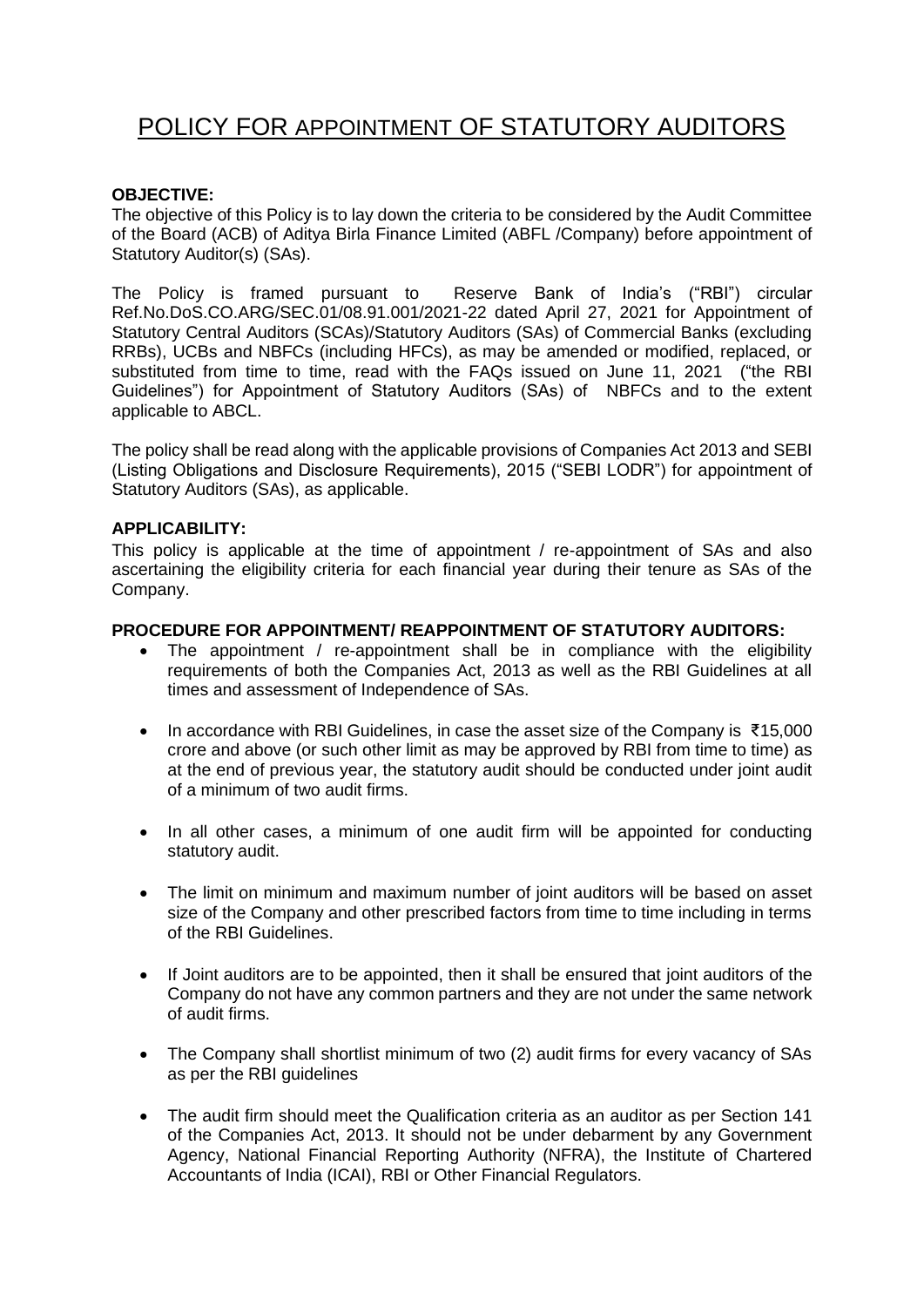# POLICY FOR APPOINTMENT OF STATUTORY AUDITORS

## **OBJECTIVE:**

The objective of this Policy is to lay down the criteria to be considered by the Audit Committee of the Board (ACB) of Aditya Birla Finance Limited (ABFL /Company) before appointment of Statutory Auditor(s) (SAs).

The Policy is framed pursuant to Reserve Bank of India's ("RBI") circular Ref.No.DoS.CO.ARG/SEC.01/08.91.001/2021-22 dated April 27, 2021 for Appointment of Statutory Central Auditors (SCAs)/Statutory Auditors (SAs) of Commercial Banks (excluding RRBs), UCBs and NBFCs (including HFCs), as may be amended or modified, replaced, or substituted from time to time, read with the FAQs issued on June 11, 2021 ("the RBI Guidelines") for Appointment of Statutory Auditors (SAs) of NBFCs and to the extent applicable to ABCL.

The policy shall be read along with the applicable provisions of Companies Act 2013 and SEBI (Listing Obligations and Disclosure Requirements), 2015 ("SEBI LODR") for appointment of Statutory Auditors (SAs), as applicable.

## **APPLICABILITY:**

This policy is applicable at the time of appointment / re-appointment of SAs and also ascertaining the eligibility criteria for each financial year during their tenure as SAs of the Company.

## **PROCEDURE FOR APPOINTMENT/ REAPPOINTMENT OF STATUTORY AUDITORS:**

- The appointment / re-appointment shall be in compliance with the eligibility requirements of both the Companies Act, 2013 as well as the RBI Guidelines at all times and assessment of Independence of SAs.
- In accordance with RBI Guidelines, in case the asset size of the Company is ₹15,000 crore and above (or such other limit as may be approved by RBI from time to time) as at the end of previous year, the statutory audit should be conducted under joint audit of a minimum of two audit firms.
- In all other cases, a minimum of one audit firm will be appointed for conducting statutory audit.
- The limit on minimum and maximum number of joint auditors will be based on asset size of the Company and other prescribed factors from time to time including in terms of the RBI Guidelines.
- If Joint auditors are to be appointed, then it shall be ensured that joint auditors of the Company do not have any common partners and they are not under the same network of audit firms.
- The Company shall shortlist minimum of two (2) audit firms for every vacancy of SAs as per the RBI guidelines
- The audit firm should meet the Qualification criteria as an auditor as per Section 141 of the Companies Act, 2013. It should not be under debarment by any Government Agency, National Financial Reporting Authority (NFRA), the Institute of Chartered Accountants of India (ICAI), RBI or Other Financial Regulators.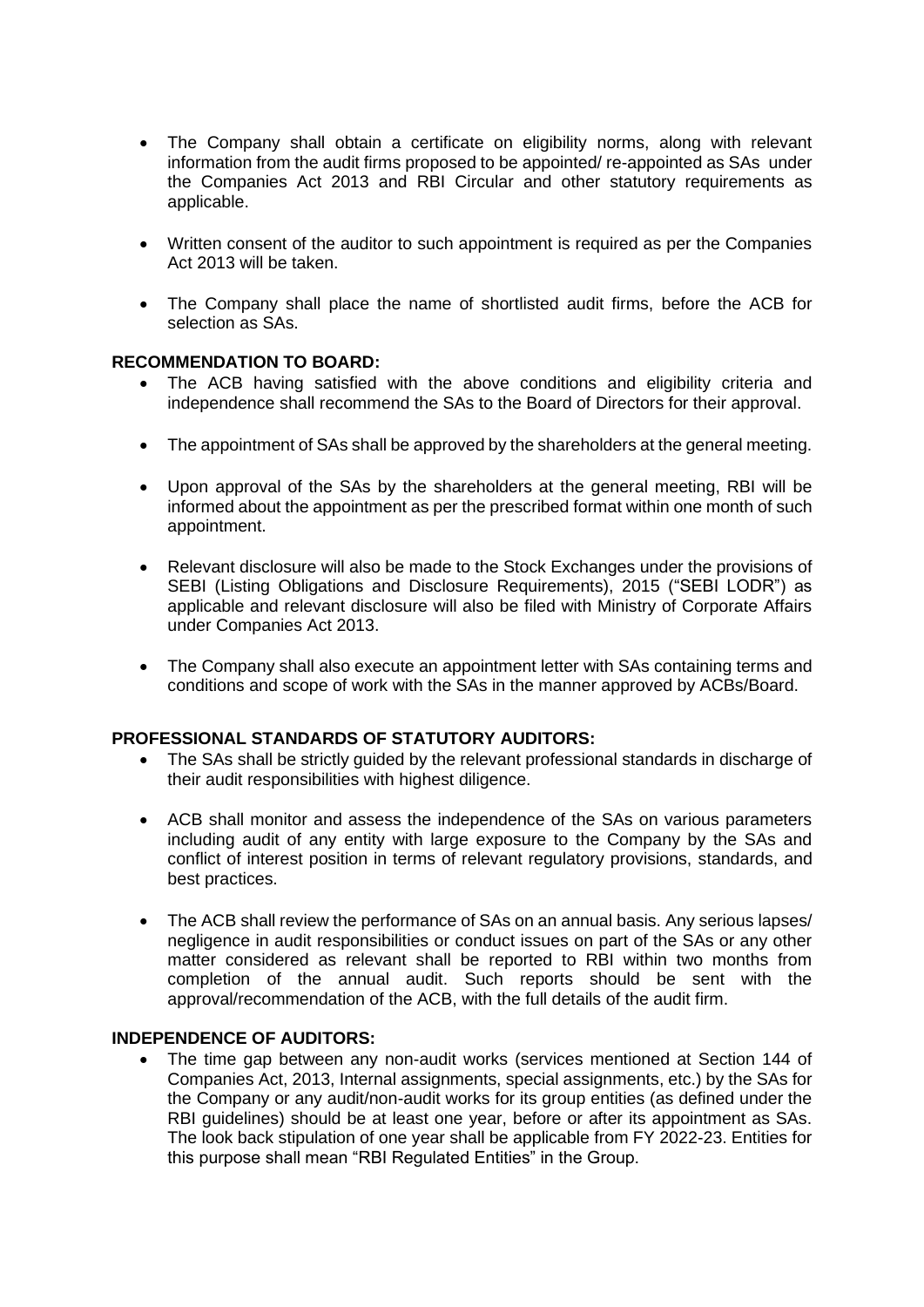- The Company shall obtain a certificate on eligibility norms, along with relevant information from the audit firms proposed to be appointed/ re-appointed as SAs under the Companies Act 2013 and RBI Circular and other statutory requirements as applicable.
- Written consent of the auditor to such appointment is required as per the Companies Act 2013 will be taken.
- The Company shall place the name of shortlisted audit firms, before the ACB for selection as SAs.

## **RECOMMENDATION TO BOARD:**

- The ACB having satisfied with the above conditions and eligibility criteria and independence shall recommend the SAs to the Board of Directors for their approval.
- The appointment of SAs shall be approved by the shareholders at the general meeting.
- Upon approval of the SAs by the shareholders at the general meeting, RBI will be informed about the appointment as per the prescribed format within one month of such appointment.
- Relevant disclosure will also be made to the Stock Exchanges under the provisions of SEBI (Listing Obligations and Disclosure Requirements), 2015 ("SEBI LODR") as applicable and relevant disclosure will also be filed with Ministry of Corporate Affairs under Companies Act 2013.
- The Company shall also execute an appointment letter with SAs containing terms and conditions and scope of work with the SAs in the manner approved by ACBs/Board.

# **PROFESSIONAL STANDARDS OF STATUTORY AUDITORS:**

- The SAs shall be strictly quided by the relevant professional standards in discharge of their audit responsibilities with highest diligence.
- ACB shall monitor and assess the independence of the SAs on various parameters including audit of any entity with large exposure to the Company by the SAs and conflict of interest position in terms of relevant regulatory provisions, standards, and best practices.
- The ACB shall review the performance of SAs on an annual basis. Any serious lapses/ negligence in audit responsibilities or conduct issues on part of the SAs or any other matter considered as relevant shall be reported to RBI within two months from completion of the annual audit. Such reports should be sent with the approval/recommendation of the ACB, with the full details of the audit firm.

## **INDEPENDENCE OF AUDITORS:**

• The time gap between any non-audit works (services mentioned at Section 144 of Companies Act, 2013, Internal assignments, special assignments, etc.) by the SAs for the Company or any audit/non-audit works for its group entities (as defined under the RBI guidelines) should be at least one year, before or after its appointment as SAs. The look back stipulation of one year shall be applicable from FY 2022-23. Entities for this purpose shall mean "RBI Regulated Entities" in the Group.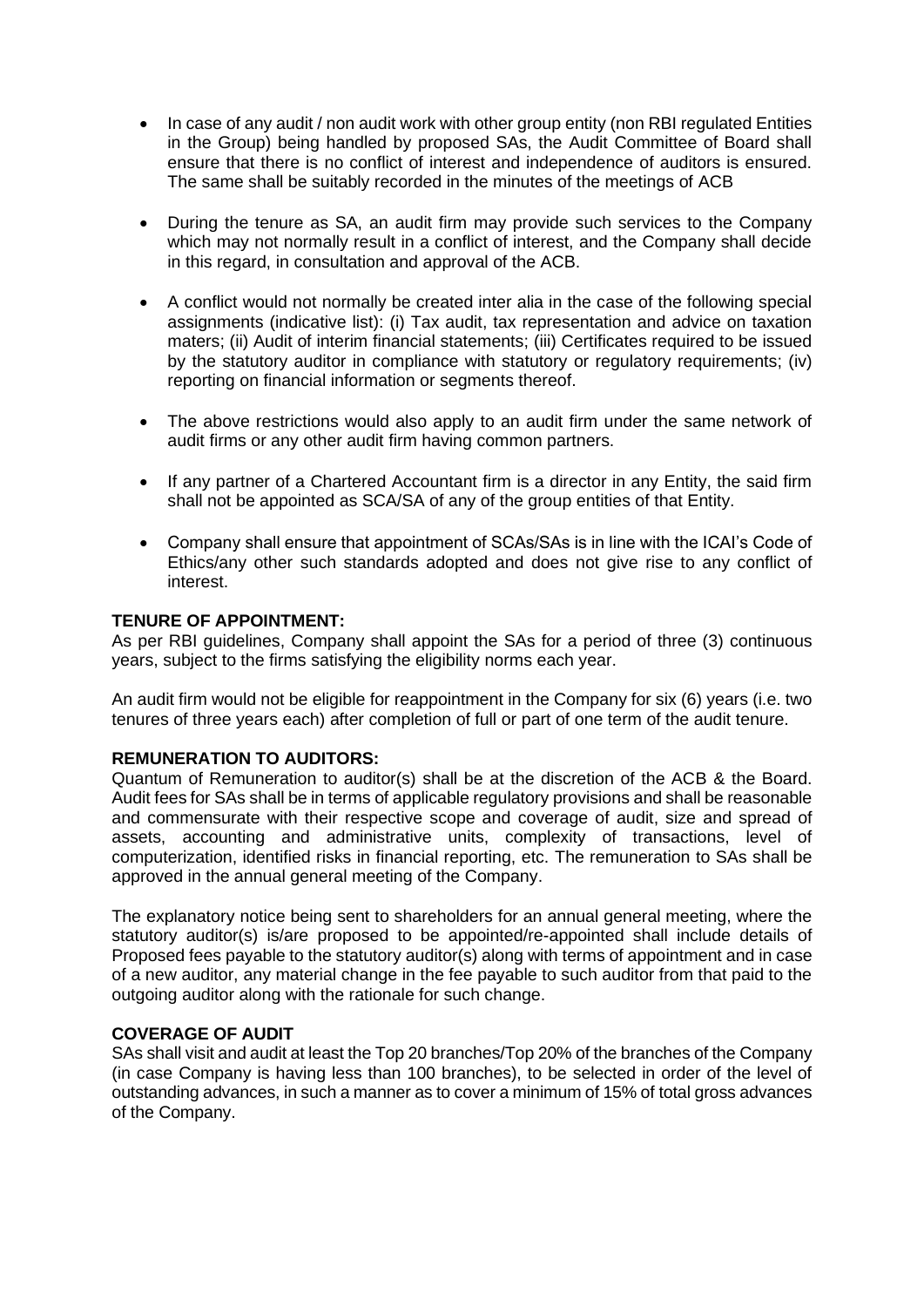- In case of any audit / non audit work with other group entity (non RBI regulated Entities in the Group) being handled by proposed SAs, the Audit Committee of Board shall ensure that there is no conflict of interest and independence of auditors is ensured. The same shall be suitably recorded in the minutes of the meetings of ACB
- During the tenure as SA, an audit firm may provide such services to the Company which may not normally result in a conflict of interest, and the Company shall decide in this regard, in consultation and approval of the ACB.
- A conflict would not normally be created inter alia in the case of the following special assignments (indicative list): (i) Tax audit, tax representation and advice on taxation maters; (ii) Audit of interim financial statements; (iii) Certificates required to be issued by the statutory auditor in compliance with statutory or regulatory requirements; (iv) reporting on financial information or segments thereof.
- The above restrictions would also apply to an audit firm under the same network of audit firms or any other audit firm having common partners.
- If any partner of a Chartered Accountant firm is a director in any Entity, the said firm shall not be appointed as SCA/SA of any of the group entities of that Entity.
- Company shall ensure that appointment of SCAs/SAs is in line with the ICAI's Code of Ethics/any other such standards adopted and does not give rise to any conflict of interest.

## **TENURE OF APPOINTMENT:**

As per RBI guidelines, Company shall appoint the SAs for a period of three (3) continuous years, subject to the firms satisfying the eligibility norms each year.

An audit firm would not be eligible for reappointment in the Company for six (6) years (i.e. two tenures of three years each) after completion of full or part of one term of the audit tenure.

#### **REMUNERATION TO AUDITORS:**

Quantum of Remuneration to auditor(s) shall be at the discretion of the ACB & the Board. Audit fees for SAs shall be in terms of applicable regulatory provisions and shall be reasonable and commensurate with their respective scope and coverage of audit, size and spread of assets, accounting and administrative units, complexity of transactions, level of computerization, identified risks in financial reporting, etc. The remuneration to SAs shall be approved in the annual general meeting of the Company.

The explanatory notice being sent to shareholders for an annual general meeting, where the statutory auditor(s) is/are proposed to be appointed/re-appointed shall include details of Proposed fees payable to the statutory auditor(s) along with terms of appointment and in case of a new auditor, any material change in the fee payable to such auditor from that paid to the outgoing auditor along with the rationale for such change.

#### **COVERAGE OF AUDIT**

SAs shall visit and audit at least the Top 20 branches/Top 20% of the branches of the Company (in case Company is having less than 100 branches), to be selected in order of the level of outstanding advances, in such a manner as to cover a minimum of 15% of total gross advances of the Company.